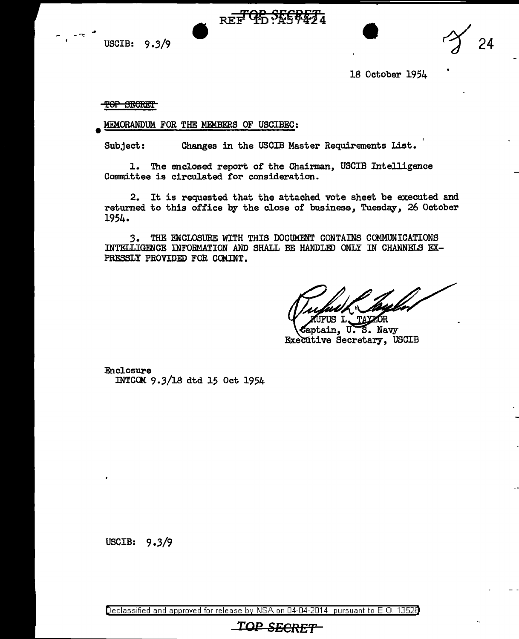USCIB:  $9.3/9$  REF TD:A57424  $\gamma$  24

18 October 1954

**TOP SECRET** 

..

• MEMORANDUM FOR THE MEMBERS OF USCIBEC:

Subject: Changes in the USCIB Master Requirements List.

1. The enclosed report of the Chairman, USCIB Intelligence Committee is circulated for consideration.

2. It is requested. that the attached vote sheet be executed and returned to this office by the close of business, Tuesday, 26 October 1954.

*3.* THE ENCLOSURE WITH THIS DOCUMENT CONTAINS COMMUNICATIONS INTELLIGENCE INFORMATION AND SHALL BE HANDLED ONLY IN CHANNELS EX-PRESSLY PROVIDED FOR CCMINT.

FIS L. **TAYZOR** 

Captain, U.S. Navy Executive Secretary, USCIB

Enclosure INTCOM 9.3/1s dtd 15 Oct 1954

USCIB: 9.3/9

Declassified and approved for release by NSA on 04-04-2014 pursuant to E. 0. 1352B

## **TOP SECRE'r**